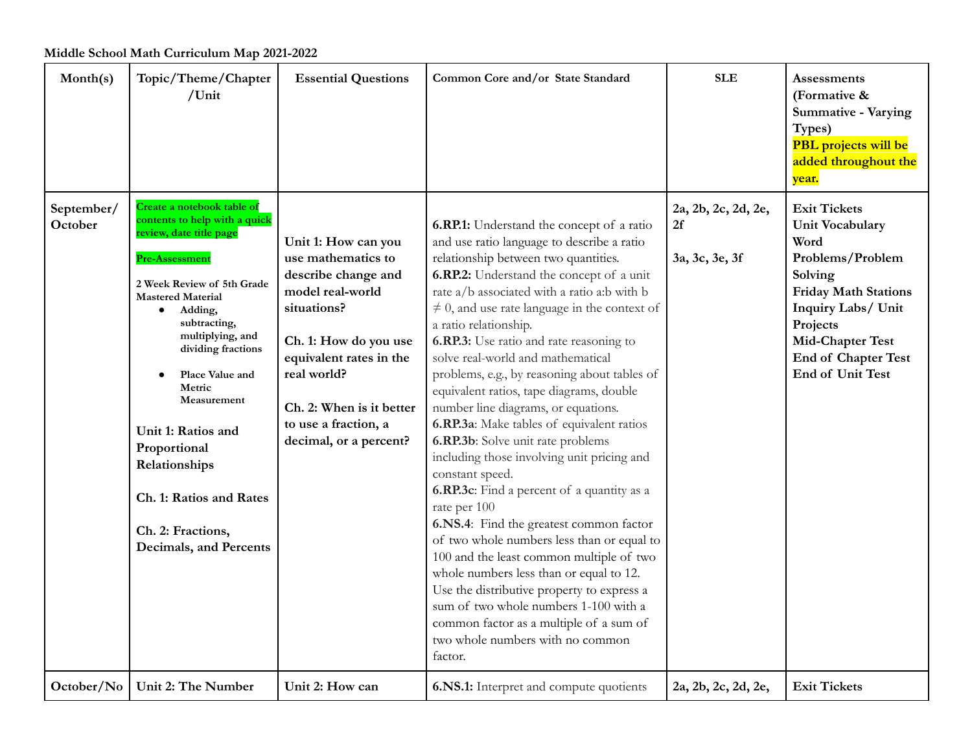| Month(s)              | Topic/Theme/Chapter<br>/Unit                                                                                                                                                                                                                                                                                                                                                                                                      | <b>Essential Questions</b>                                                                                                                                                                                                                           | Common Core and/or State Standard                                                                                                                                                                                                                                                                                                                                                                                                                                                                                                                                                                                                                                                                                                                                                                                                                                                                                                                                                                                                                                                                                     | <b>SLE</b>                                  | <b>Assessments</b><br>(Formative &<br><b>Summative - Varying</b><br>Types)<br><b>PBL</b> projects will be<br>added throughout the<br>year.                                                                                  |
|-----------------------|-----------------------------------------------------------------------------------------------------------------------------------------------------------------------------------------------------------------------------------------------------------------------------------------------------------------------------------------------------------------------------------------------------------------------------------|------------------------------------------------------------------------------------------------------------------------------------------------------------------------------------------------------------------------------------------------------|-----------------------------------------------------------------------------------------------------------------------------------------------------------------------------------------------------------------------------------------------------------------------------------------------------------------------------------------------------------------------------------------------------------------------------------------------------------------------------------------------------------------------------------------------------------------------------------------------------------------------------------------------------------------------------------------------------------------------------------------------------------------------------------------------------------------------------------------------------------------------------------------------------------------------------------------------------------------------------------------------------------------------------------------------------------------------------------------------------------------------|---------------------------------------------|-----------------------------------------------------------------------------------------------------------------------------------------------------------------------------------------------------------------------------|
| September/<br>October | Create a notebook table of<br>contents to help with a quick<br>review, date title page<br>Pre-Assessment<br>2 Week Review of 5th Grade<br><b>Mastered Material</b><br>Adding,<br>$\bullet$<br>subtracting,<br>multiplying, and<br>dividing fractions<br>Place Value and<br>Metric<br>Measurement<br>Unit 1: Ratios and<br>Proportional<br>Relationships<br>Ch. 1: Ratios and Rates<br>Ch. 2: Fractions,<br>Decimals, and Percents | Unit 1: How can you<br>use mathematics to<br>describe change and<br>model real-world<br>situations?<br>Ch. 1: How do you use<br>equivalent rates in the<br>real world?<br>Ch. 2: When is it better<br>to use a fraction, a<br>decimal, or a percent? | 6.RP.1: Understand the concept of a ratio<br>and use ratio language to describe a ratio<br>relationship between two quantities.<br>6.RP.2: Understand the concept of a unit<br>rate a/b associated with a ratio a:b with b<br>$\neq$ 0, and use rate language in the context of<br>a ratio relationship.<br>6.RP.3: Use ratio and rate reasoning to<br>solve real-world and mathematical<br>problems, e.g., by reasoning about tables of<br>equivalent ratios, tape diagrams, double<br>number line diagrams, or equations.<br>6.RP.3a: Make tables of equivalent ratios<br>6.RP.3b: Solve unit rate problems<br>including those involving unit pricing and<br>constant speed.<br><b>6.RP.3c</b> : Find a percent of a quantity as a<br>rate per 100<br>6.NS.4: Find the greatest common factor<br>of two whole numbers less than or equal to<br>100 and the least common multiple of two<br>whole numbers less than or equal to 12.<br>Use the distributive property to express a<br>sum of two whole numbers 1-100 with a<br>common factor as a multiple of a sum of<br>two whole numbers with no common<br>factor. | 2a, 2b, 2c, 2d, 2e,<br>2f<br>3a, 3c, 3e, 3f | <b>Exit Tickets</b><br>Unit Vocabulary<br>Word<br>Problems/Problem<br>Solving<br><b>Friday Math Stations</b><br>Inquiry Labs/ Unit<br>Projects<br>Mid-Chapter Test<br><b>End of Chapter Test</b><br><b>End of Unit Test</b> |
| October/No            | Unit 2: The Number                                                                                                                                                                                                                                                                                                                                                                                                                | Unit 2: How can                                                                                                                                                                                                                                      | 6.NS.1: Interpret and compute quotients                                                                                                                                                                                                                                                                                                                                                                                                                                                                                                                                                                                                                                                                                                                                                                                                                                                                                                                                                                                                                                                                               | 2a, 2b, 2c, 2d, 2e,                         | <b>Exit Tickets</b>                                                                                                                                                                                                         |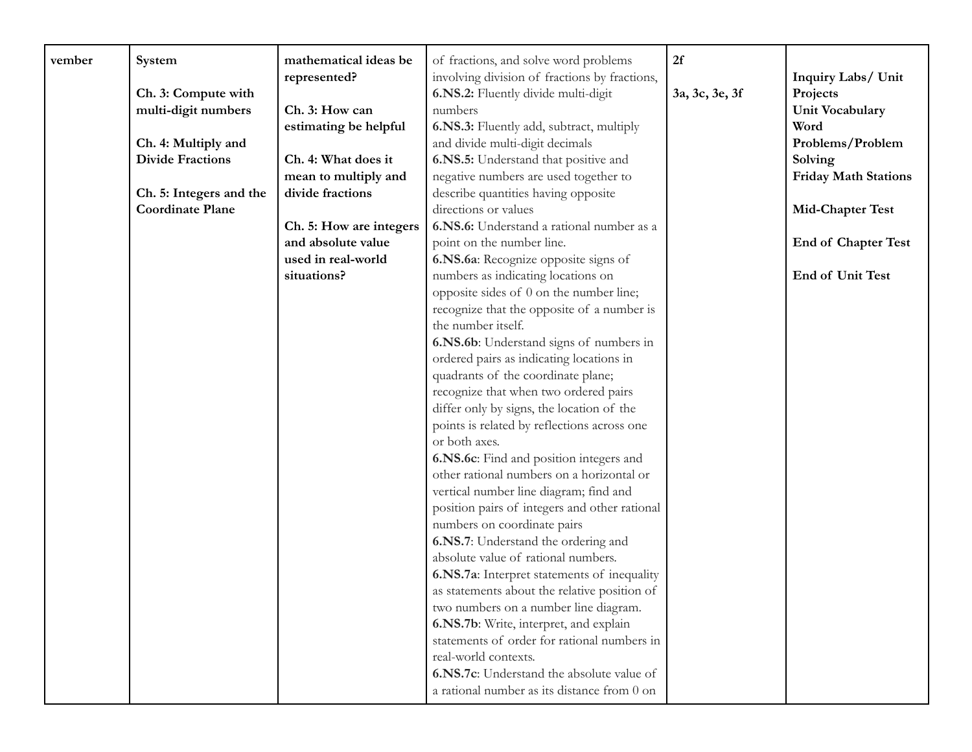| vember | System                  | mathematical ideas be   | of fractions, and solve word problems          | 2f             |                             |
|--------|-------------------------|-------------------------|------------------------------------------------|----------------|-----------------------------|
|        |                         | represented?            | involving division of fractions by fractions,  |                | Inquiry Labs/ Unit          |
|        | Ch. 3: Compute with     |                         | 6.NS.2: Fluently divide multi-digit<br>numbers | 3a, 3c, 3e, 3f | Projects                    |
|        | multi-digit numbers     | Ch. 3: How can          |                                                |                | Unit Vocabulary             |
|        |                         | estimating be helpful   | 6.NS.3: Fluently add, subtract, multiply       |                | Word                        |
|        | Ch. 4: Multiply and     |                         | and divide multi-digit decimals                |                | Problems/Problem            |
|        | <b>Divide Fractions</b> | Ch. 4: What does it     | 6.NS.5: Understand that positive and           |                | Solving                     |
|        |                         | mean to multiply and    | negative numbers are used together to          |                | <b>Friday Math Stations</b> |
|        | Ch. 5: Integers and the | divide fractions        | describe quantities having opposite            |                |                             |
|        | <b>Coordinate Plane</b> |                         | directions or values                           |                | Mid-Chapter Test            |
|        |                         | Ch. 5: How are integers | 6.NS.6: Understand a rational number as a      |                |                             |
|        |                         | and absolute value      | point on the number line.                      |                | <b>End of Chapter Test</b>  |
|        |                         | used in real-world      | 6.NS.6a: Recognize opposite signs of           |                |                             |
|        |                         | situations?             | numbers as indicating locations on             |                | End of Unit Test            |
|        |                         |                         | opposite sides of 0 on the number line;        |                |                             |
|        |                         |                         | recognize that the opposite of a number is     |                |                             |
|        |                         |                         | the number itself.                             |                |                             |
|        |                         |                         | 6.NS.6b: Understand signs of numbers in        |                |                             |
|        |                         |                         | ordered pairs as indicating locations in       |                |                             |
|        |                         |                         | quadrants of the coordinate plane;             |                |                             |
|        |                         |                         | recognize that when two ordered pairs          |                |                             |
|        |                         |                         | differ only by signs, the location of the      |                |                             |
|        |                         |                         | points is related by reflections across one    |                |                             |
|        |                         |                         | or both axes.                                  |                |                             |
|        |                         |                         | 6.NS.6c: Find and position integers and        |                |                             |
|        |                         |                         | other rational numbers on a horizontal or      |                |                             |
|        |                         |                         | vertical number line diagram; find and         |                |                             |
|        |                         |                         | position pairs of integers and other rational  |                |                             |
|        |                         |                         | numbers on coordinate pairs                    |                |                             |
|        |                         |                         | 6.NS.7: Understand the ordering and            |                |                             |
|        |                         |                         | absolute value of rational numbers.            |                |                             |
|        |                         |                         | 6.NS.7a: Interpret statements of inequality    |                |                             |
|        |                         |                         | as statements about the relative position of   |                |                             |
|        |                         |                         | two numbers on a number line diagram.          |                |                             |
|        |                         |                         | 6.NS.7b: Write, interpret, and explain         |                |                             |
|        |                         |                         | statements of order for rational numbers in    |                |                             |
|        |                         |                         | real-world contexts.                           |                |                             |
|        |                         |                         | 6.NS.7c: Understand the absolute value of      |                |                             |
|        |                         |                         | a rational number as its distance from 0 on    |                |                             |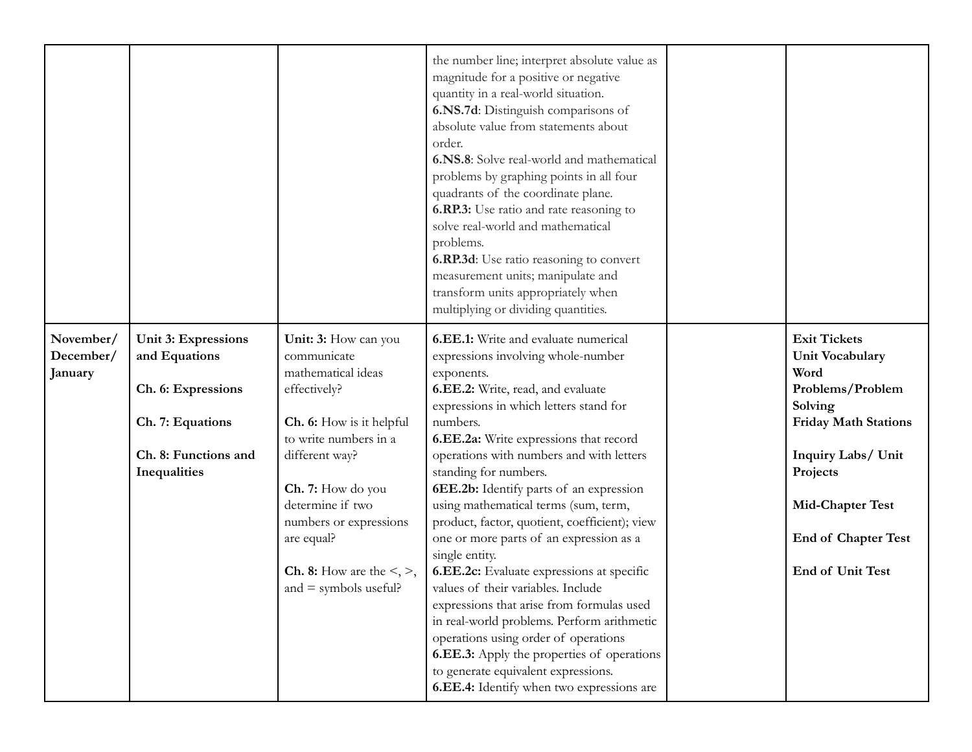|                                   |                                                                                                                               |                                                                                                                                                                                                                                                                                                          | the number line; interpret absolute value as<br>magnitude for a positive or negative<br>quantity in a real-world situation.<br>6.NS.7d: Distinguish comparisons of<br>absolute value from statements about<br>order.<br>6.NS.8: Solve real-world and mathematical<br>problems by graphing points in all four<br>quadrants of the coordinate plane.<br>6.RP.3: Use ratio and rate reasoning to<br>solve real-world and mathematical<br>problems.<br>6.RP.3d: Use ratio reasoning to convert<br>measurement units; manipulate and<br>transform units appropriately when<br>multiplying or dividing quantities.                                                                                                                                                                                                                                                              |                                                                                                                                                                                                                                    |
|-----------------------------------|-------------------------------------------------------------------------------------------------------------------------------|----------------------------------------------------------------------------------------------------------------------------------------------------------------------------------------------------------------------------------------------------------------------------------------------------------|---------------------------------------------------------------------------------------------------------------------------------------------------------------------------------------------------------------------------------------------------------------------------------------------------------------------------------------------------------------------------------------------------------------------------------------------------------------------------------------------------------------------------------------------------------------------------------------------------------------------------------------------------------------------------------------------------------------------------------------------------------------------------------------------------------------------------------------------------------------------------|------------------------------------------------------------------------------------------------------------------------------------------------------------------------------------------------------------------------------------|
| November/<br>December/<br>January | <b>Unit 3: Expressions</b><br>and Equations<br>Ch. 6: Expressions<br>Ch. 7: Equations<br>Ch. 8: Functions and<br>Inequalities | Unit: 3: How can you<br>communicate<br>mathematical ideas<br>effectively?<br>Ch. 6: How is it helpful<br>to write numbers in a<br>different way?<br>Ch. 7: How do you<br>determine if two<br>numbers or expressions<br>are equal?<br><b>Ch. 8:</b> How are the $\leq$ , $>$ ,<br>and $=$ symbols useful? | <b>6.EE.1:</b> Write and evaluate numerical<br>expressions involving whole-number<br>exponents.<br>6.EE.2: Write, read, and evaluate<br>expressions in which letters stand for<br>numbers.<br>6.EE.2a: Write expressions that record<br>operations with numbers and with letters<br>standing for numbers.<br>6EE.2b: Identify parts of an expression<br>using mathematical terms (sum, term,<br>product, factor, quotient, coefficient); view<br>one or more parts of an expression as a<br>single entity.<br>6.EE.2c: Evaluate expressions at specific<br>values of their variables. Include<br>expressions that arise from formulas used<br>in real-world problems. Perform arithmetic<br>operations using order of operations<br><b>6.EE.3:</b> Apply the properties of operations<br>to generate equivalent expressions.<br>6.EE.4: Identify when two expressions are | <b>Exit Tickets</b><br><b>Unit Vocabulary</b><br>Word<br>Problems/Problem<br>Solving<br><b>Friday Math Stations</b><br>Inquiry Labs/ Unit<br>Projects<br><b>Mid-Chapter Test</b><br><b>End of Chapter Test</b><br>End of Unit Test |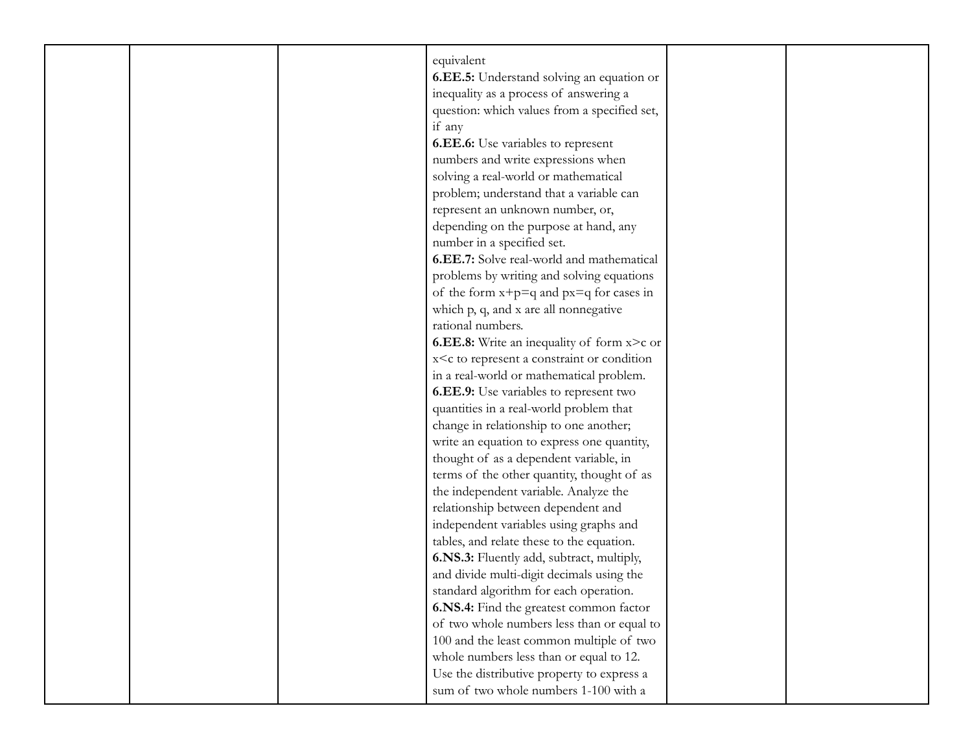| equivalent                 |                                                                                    |  |
|----------------------------|------------------------------------------------------------------------------------|--|
|                            | 6.EE.5: Understand solving an equation or                                          |  |
|                            | inequality as a process of answering a                                             |  |
|                            | question: which values from a specified set,                                       |  |
| if any                     |                                                                                    |  |
|                            | <b>6.EE.6:</b> Use variables to represent                                          |  |
|                            | numbers and write expressions when                                                 |  |
|                            | solving a real-world or mathematical                                               |  |
|                            | problem; understand that a variable can                                            |  |
|                            | represent an unknown number, or,                                                   |  |
|                            | depending on the purpose at hand, any                                              |  |
| number in a specified set. |                                                                                    |  |
|                            | 6.EE.7: Solve real-world and mathematical                                          |  |
|                            | problems by writing and solving equations                                          |  |
|                            | of the form $x+p=q$ and $px=q$ for cases in                                        |  |
|                            | which p, q, and x are all nonnegative                                              |  |
| rational numbers.          |                                                                                    |  |
|                            | <b>6.EE.8:</b> Write an inequality of form x>c or                                  |  |
|                            | x <c a="" condition<="" constraint="" or="" represent="" td="" to=""><td></td></c> |  |
|                            | in a real-world or mathematical problem.                                           |  |
|                            | 6.EE.9: Use variables to represent two                                             |  |
|                            | quantities in a real-world problem that                                            |  |
|                            | change in relationship to one another;                                             |  |
|                            | write an equation to express one quantity,                                         |  |
|                            | thought of as a dependent variable, in                                             |  |
|                            | terms of the other quantity, thought of as                                         |  |
|                            | the independent variable. Analyze the                                              |  |
|                            | relationship between dependent and                                                 |  |
|                            | independent variables using graphs and                                             |  |
|                            | tables, and relate these to the equation.                                          |  |
|                            | 6.NS.3: Fluently add, subtract, multiply,                                          |  |
|                            | and divide multi-digit decimals using the                                          |  |
|                            | standard algorithm for each operation.                                             |  |
|                            | 6.NS.4: Find the greatest common factor                                            |  |
|                            | of two whole numbers less than or equal to                                         |  |
|                            | 100 and the least common multiple of two                                           |  |
|                            | whole numbers less than or equal to 12.                                            |  |
|                            | Use the distributive property to express a                                         |  |
|                            | sum of two whole numbers 1-100 with a                                              |  |
|                            |                                                                                    |  |